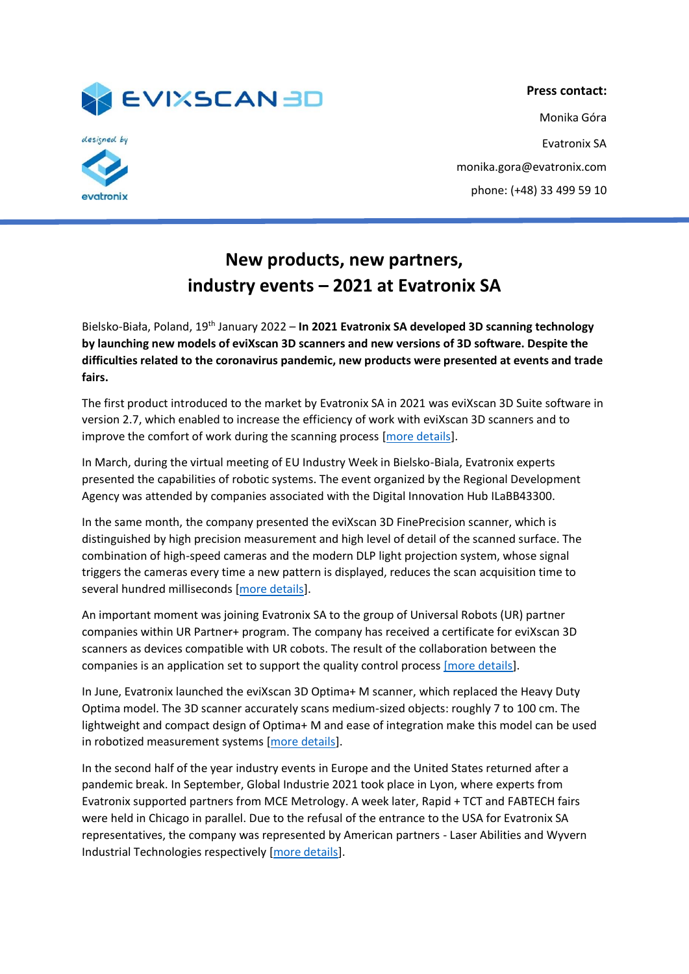

vatronix

**Press contact:** Monika Góra Evatronix SA monika.gora@evatronix.com phone: (+48) 33 499 59 10

## **New products, new partners, industry events – 2021 at Evatronix SA**

Bielsko-Biała, Poland, 19th January 2022 – **In 2021 Evatronix SA developed 3D scanning technology by launching new models of eviXscan 3D scanners and new versions of 3D software. Despite the difficulties related to the coronavirus pandemic, new products were presented at events and trade fairs.**

The first product introduced to the market by Evatronix SA in 2021 was eviXscan 3D Suite software in version 2.7, which enabled to increase the efficiency of work with eviXscan 3D scanners and to improve the comfort of work during the scanning process [\[more details\]](https://evixscan3d.com/evixscan-3d-suite-2-7-the-latest-version-of-the-3d-software-from-evatronix/).

In March, during the virtual meeting of EU Industry Week in Bielsko-Biala, Evatronix experts presented the capabilities of robotic systems. The event organized by the Regional Development Agency was attended by companies associated with the Digital Innovation Hub ILaBB43300.

In the same month, the company presented the eviXscan 3D FinePrecision scanner, which is distinguished by high precision measurement and high level of detail of the scanned surface. The combination of high-speed cameras and the modern DLP light projection system, whose signal triggers the cameras every time a new pattern is displayed, reduces the scan acquisition time to several hundred milliseconds [\[more details\]](https://evixscan3d.com/3d-scanners/fineprecision/).

An important moment was joining Evatronix SA to the group of Universal Robots (UR) partner companies within UR Partner+ program. The company has received a certificate for eviXscan 3D scanners as devices compatible with UR cobots. The result of the collaboration between the companies is an application set to support the quality control process [\[more details\]](https://evixscan3d.com/urplus/).

In June, Evatronix launched the eviXscan 3D Optima+ M scanner, which replaced the Heavy Duty Optima model. The 3D scanner accurately scans medium-sized objects: roughly 7 to 100 cm. The lightweight and compact design of Optima+ M and ease of integration make this model can be used in robotized measurement systems [\[more details\]](https://evixscan3d.com/3d-scanners/optima-m/).

In the second half of the year industry events in Europe and the United States returned after a pandemic break. In September, Global Industrie 2021 took place in Lyon, where experts from Evatronix supported partners from MCE Metrology. A week later, Rapid + TCT and FABTECH fairs were held in Chicago in parallel. Due to the refusal of the entrance to the USA for Evatronix SA representatives, the company was represented by American partners - Laser Abilities and Wyvern Industrial Technologies respectively [\[more details\]](https://evixscan3d.com/see-the-report-evixscan-3d-at-trade-fairs-in-the-usa-and-france/).